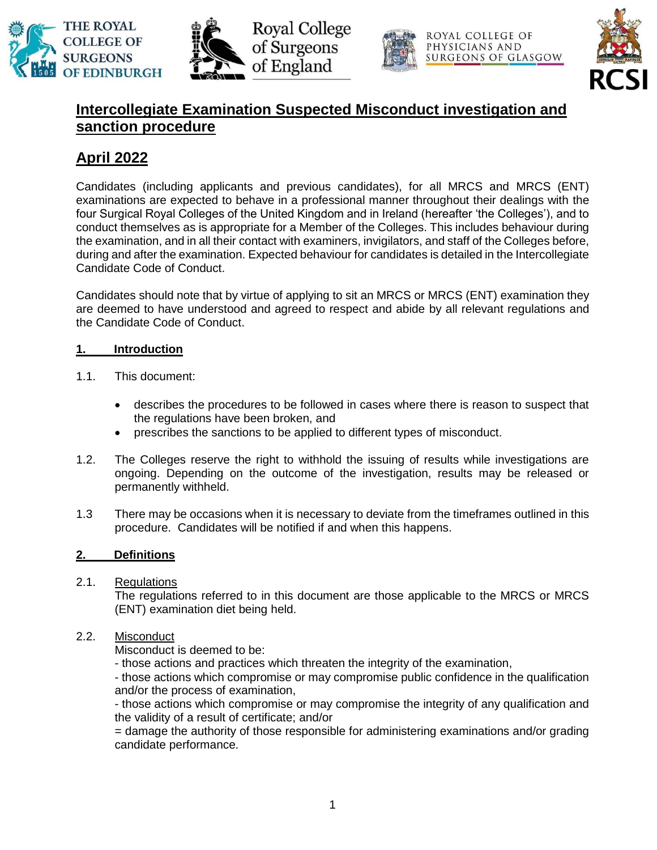





ROYAL COLLEGE OF PHYSICIANS AND SURGEONS OF GLASGOW



## **Intercollegiate Examination Suspected Misconduct investigation and sanction procedure**

# **April 2022**

Candidates (including applicants and previous candidates), for all MRCS and MRCS (ENT) examinations are expected to behave in a professional manner throughout their dealings with the four Surgical Royal Colleges of the United Kingdom and in Ireland (hereafter 'the Colleges'), and to conduct themselves as is appropriate for a Member of the Colleges. This includes behaviour during the examination, and in all their contact with examiners, invigilators, and staff of the Colleges before, during and after the examination. Expected behaviour for candidates is detailed in the Intercollegiate Candidate Code of Conduct.

Candidates should note that by virtue of applying to sit an MRCS or MRCS (ENT) examination they are deemed to have understood and agreed to respect and abide by all relevant regulations and the Candidate Code of Conduct.

## **1. Introduction**

- 1.1. This document:
	- describes the procedures to be followed in cases where there is reason to suspect that the regulations have been broken, and
	- prescribes the sanctions to be applied to different types of misconduct.
- 1.2. The Colleges reserve the right to withhold the issuing of results while investigations are ongoing. Depending on the outcome of the investigation, results may be released or permanently withheld.
- 1.3 There may be occasions when it is necessary to deviate from the timeframes outlined in this procedure. Candidates will be notified if and when this happens.

## **2. Definitions**

2.1. Regulations

The regulations referred to in this document are those applicable to the MRCS or MRCS (ENT) examination diet being held.

## 2.2. Misconduct

Misconduct is deemed to be:

- those actions and practices which threaten the integrity of the examination,

- those actions which compromise or may compromise public confidence in the qualification and/or the process of examination,

- those actions which compromise or may compromise the integrity of any qualification and the validity of a result of certificate; and/or

= damage the authority of those responsible for administering examinations and/or grading candidate performance.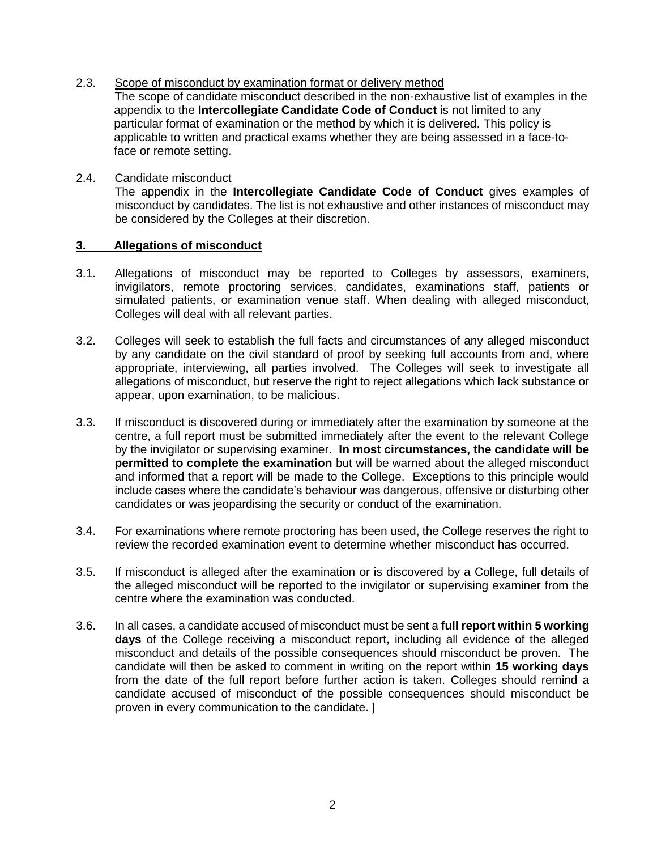2.3. Scope of misconduct by examination format or delivery method

The scope of candidate misconduct described in the non-exhaustive list of examples in the appendix to the **Intercollegiate Candidate Code of Conduct** is not limited to any particular format of examination or the method by which it is delivered. This policy is applicable to written and practical exams whether they are being assessed in a face-toface or remote setting.

## 2.4. Candidate misconduct

The appendix in the **Intercollegiate Candidate Code of Conduct** gives examples of misconduct by candidates. The list is not exhaustive and other instances of misconduct may be considered by the Colleges at their discretion.

#### **3. Allegations of misconduct**

- 3.1. Allegations of misconduct may be reported to Colleges by assessors, examiners, invigilators, remote proctoring services, candidates, examinations staff, patients or simulated patients, or examination venue staff. When dealing with alleged misconduct, Colleges will deal with all relevant parties.
- 3.2. Colleges will seek to establish the full facts and circumstances of any alleged misconduct by any candidate on the civil standard of proof by seeking full accounts from and, where appropriate, interviewing, all parties involved. The Colleges will seek to investigate all allegations of misconduct, but reserve the right to reject allegations which lack substance or appear, upon examination, to be malicious.
- 3.3. If misconduct is discovered during or immediately after the examination by someone at the centre, a full report must be submitted immediately after the event to the relevant College by the invigilator or supervising examiner**. In most circumstances, the candidate will be permitted to complete the examination** but will be warned about the alleged misconduct and informed that a report will be made to the College. Exceptions to this principle would include cases where the candidate's behaviour was dangerous, offensive or disturbing other candidates or was jeopardising the security or conduct of the examination.
- 3.4. For examinations where remote proctoring has been used, the College reserves the right to review the recorded examination event to determine whether misconduct has occurred.
- 3.5. If misconduct is alleged after the examination or is discovered by a College, full details of the alleged misconduct will be reported to the invigilator or supervising examiner from the centre where the examination was conducted.
- 3.6. In all cases, a candidate accused of misconduct must be sent a **full report within 5 working days** of the College receiving a misconduct report, including all evidence of the alleged misconduct and details of the possible consequences should misconduct be proven. The candidate will then be asked to comment in writing on the report within **15 working days** from the date of the full report before further action is taken. Colleges should remind a candidate accused of misconduct of the possible consequences should misconduct be proven in every communication to the candidate. ]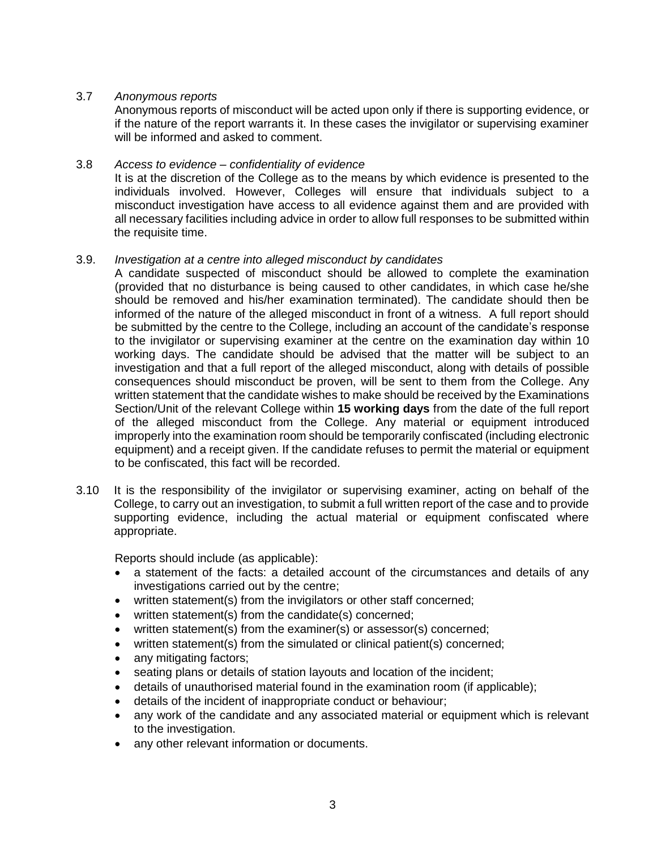#### 3.7 *Anonymous reports*

Anonymous reports of misconduct will be acted upon only if there is supporting evidence, or if the nature of the report warrants it. In these cases the invigilator or supervising examiner will be informed and asked to comment.

#### 3.8 *Access to evidence – confidentiality of evidence*

It is at the discretion of the College as to the means by which evidence is presented to the individuals involved. However, Colleges will ensure that individuals subject to a misconduct investigation have access to all evidence against them and are provided with all necessary facilities including advice in order to allow full responses to be submitted within the requisite time.

#### 3.9. *Investigation at a centre into alleged misconduct by candidates*

A candidate suspected of misconduct should be allowed to complete the examination (provided that no disturbance is being caused to other candidates, in which case he/she should be removed and his/her examination terminated). The candidate should then be informed of the nature of the alleged misconduct in front of a witness. A full report should be submitted by the centre to the College, including an account of the candidate's response to the invigilator or supervising examiner at the centre on the examination day within 10 working days. The candidate should be advised that the matter will be subject to an investigation and that a full report of the alleged misconduct, along with details of possible consequences should misconduct be proven, will be sent to them from the College. Any written statement that the candidate wishes to make should be received by the Examinations Section/Unit of the relevant College within **15 working days** from the date of the full report of the alleged misconduct from the College. Any material or equipment introduced improperly into the examination room should be temporarily confiscated (including electronic equipment) and a receipt given. If the candidate refuses to permit the material or equipment to be confiscated, this fact will be recorded.

3.10 It is the responsibility of the invigilator or supervising examiner, acting on behalf of the College, to carry out an investigation, to submit a full written report of the case and to provide supporting evidence, including the actual material or equipment confiscated where appropriate.

Reports should include (as applicable):

- a statement of the facts: a detailed account of the circumstances and details of any investigations carried out by the centre;
- written statement(s) from the invigilators or other staff concerned;
- written statement(s) from the candidate(s) concerned;
- written statement(s) from the examiner(s) or assessor(s) concerned;
- written statement(s) from the simulated or clinical patient(s) concerned;
- any mitigating factors;
- seating plans or details of station layouts and location of the incident;
- details of unauthorised material found in the examination room (if applicable);
- details of the incident of inappropriate conduct or behaviour;
- any work of the candidate and any associated material or equipment which is relevant to the investigation.
- any other relevant information or documents.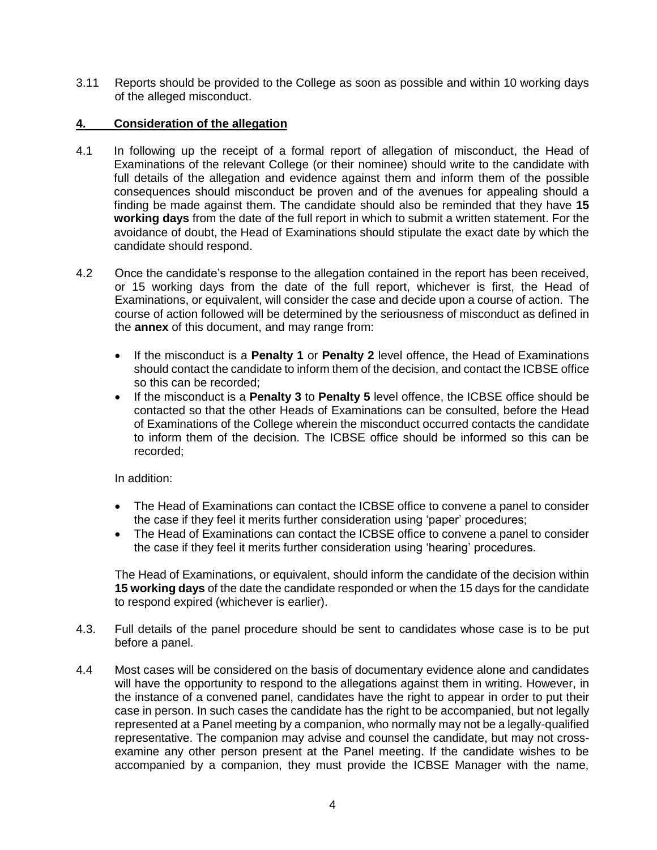3.11 Reports should be provided to the College as soon as possible and within 10 working days of the alleged misconduct.

## **4. Consideration of the allegation**

- 4.1 In following up the receipt of a formal report of allegation of misconduct, the Head of Examinations of the relevant College (or their nominee) should write to the candidate with full details of the allegation and evidence against them and inform them of the possible consequences should misconduct be proven and of the avenues for appealing should a finding be made against them. The candidate should also be reminded that they have **15 working days** from the date of the full report in which to submit a written statement. For the avoidance of doubt, the Head of Examinations should stipulate the exact date by which the candidate should respond.
- 4.2 Once the candidate's response to the allegation contained in the report has been received, or 15 working days from the date of the full report, whichever is first, the Head of Examinations, or equivalent, will consider the case and decide upon a course of action. The course of action followed will be determined by the seriousness of misconduct as defined in the **annex** of this document, and may range from:
	- If the misconduct is a **Penalty 1** or **Penalty 2** level offence, the Head of Examinations should contact the candidate to inform them of the decision, and contact the ICBSE office so this can be recorded;
	- If the misconduct is a **Penalty 3** to **Penalty 5** level offence, the ICBSE office should be contacted so that the other Heads of Examinations can be consulted, before the Head of Examinations of the College wherein the misconduct occurred contacts the candidate to inform them of the decision. The ICBSE office should be informed so this can be recorded;

In addition:

- The Head of Examinations can contact the ICBSE office to convene a panel to consider the case if they feel it merits further consideration using 'paper' procedures;
- The Head of Examinations can contact the ICBSE office to convene a panel to consider the case if they feel it merits further consideration using 'hearing' procedures.

The Head of Examinations, or equivalent, should inform the candidate of the decision within **15 working days** of the date the candidate responded or when the 15 days for the candidate to respond expired (whichever is earlier).

- 4.3. Full details of the panel procedure should be sent to candidates whose case is to be put before a panel.
- 4.4 Most cases will be considered on the basis of documentary evidence alone and candidates will have the opportunity to respond to the allegations against them in writing. However, in the instance of a convened panel, candidates have the right to appear in order to put their case in person. In such cases the candidate has the right to be accompanied, but not legally represented at a Panel meeting by a companion, who normally may not be a legally-qualified representative. The companion may advise and counsel the candidate, but may not crossexamine any other person present at the Panel meeting. If the candidate wishes to be accompanied by a companion, they must provide the ICBSE Manager with the name,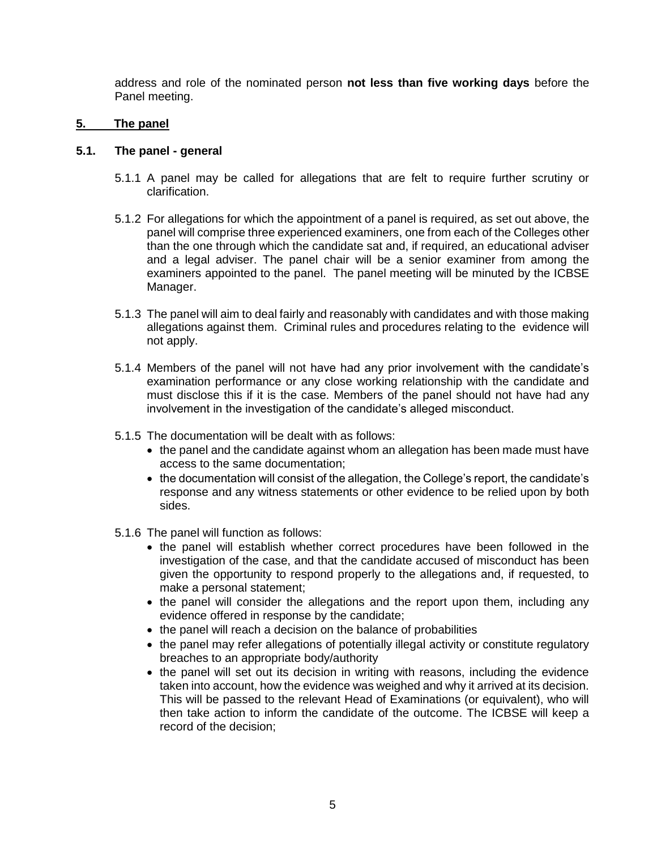address and role of the nominated person **not less than five working days** before the Panel meeting.

#### **5. The panel**

#### **5.1. The panel - general**

- 5.1.1 A panel may be called for allegations that are felt to require further scrutiny or clarification.
- 5.1.2 For allegations for which the appointment of a panel is required, as set out above, the panel will comprise three experienced examiners, one from each of the Colleges other than the one through which the candidate sat and, if required, an educational adviser and a legal adviser. The panel chair will be a senior examiner from among the examiners appointed to the panel. The panel meeting will be minuted by the ICBSE Manager.
- 5.1.3 The panel will aim to deal fairly and reasonably with candidates and with those making allegations against them. Criminal rules and procedures relating to the evidence will not apply.
- 5.1.4 Members of the panel will not have had any prior involvement with the candidate's examination performance or any close working relationship with the candidate and must disclose this if it is the case. Members of the panel should not have had any involvement in the investigation of the candidate's alleged misconduct.
- 5.1.5 The documentation will be dealt with as follows:
	- the panel and the candidate against whom an allegation has been made must have access to the same documentation;
	- the documentation will consist of the allegation, the College's report, the candidate's response and any witness statements or other evidence to be relied upon by both sides.
- 5.1.6 The panel will function as follows:
	- the panel will establish whether correct procedures have been followed in the investigation of the case, and that the candidate accused of misconduct has been given the opportunity to respond properly to the allegations and, if requested, to make a personal statement;
	- the panel will consider the allegations and the report upon them, including any evidence offered in response by the candidate;
	- the panel will reach a decision on the balance of probabilities
	- the panel may refer allegations of potentially illegal activity or constitute regulatory breaches to an appropriate body/authority
	- the panel will set out its decision in writing with reasons, including the evidence taken into account, how the evidence was weighed and why it arrived at its decision. This will be passed to the relevant Head of Examinations (or equivalent), who will then take action to inform the candidate of the outcome. The ICBSE will keep a record of the decision;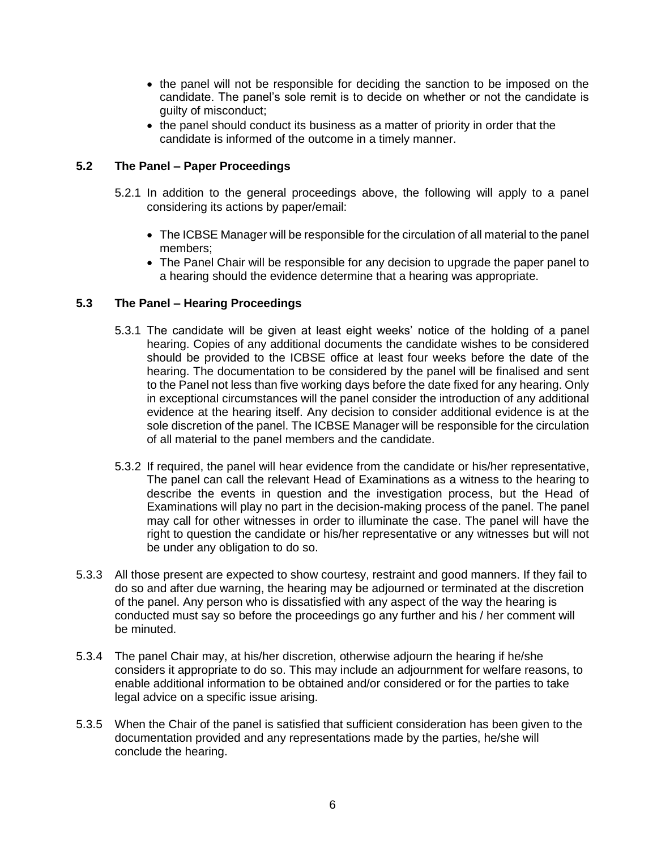- the panel will not be responsible for deciding the sanction to be imposed on the candidate. The panel's sole remit is to decide on whether or not the candidate is guilty of misconduct;
- the panel should conduct its business as a matter of priority in order that the candidate is informed of the outcome in a timely manner.

#### **5.2 The Panel – Paper Proceedings**

- 5.2.1 In addition to the general proceedings above, the following will apply to a panel considering its actions by paper/email:
	- The ICBSE Manager will be responsible for the circulation of all material to the panel members;
	- The Panel Chair will be responsible for any decision to upgrade the paper panel to a hearing should the evidence determine that a hearing was appropriate.

#### **5.3 The Panel – Hearing Proceedings**

- 5.3.1 The candidate will be given at least eight weeks' notice of the holding of a panel hearing. Copies of any additional documents the candidate wishes to be considered should be provided to the ICBSE office at least four weeks before the date of the hearing. The documentation to be considered by the panel will be finalised and sent to the Panel not less than five working days before the date fixed for any hearing. Only in exceptional circumstances will the panel consider the introduction of any additional evidence at the hearing itself. Any decision to consider additional evidence is at the sole discretion of the panel. The ICBSE Manager will be responsible for the circulation of all material to the panel members and the candidate.
- 5.3.2 If required, the panel will hear evidence from the candidate or his/her representative, The panel can call the relevant Head of Examinations as a witness to the hearing to describe the events in question and the investigation process, but the Head of Examinations will play no part in the decision-making process of the panel. The panel may call for other witnesses in order to illuminate the case. The panel will have the right to question the candidate or his/her representative or any witnesses but will not be under any obligation to do so.
- 5.3.3 All those present are expected to show courtesy, restraint and good manners. If they fail to do so and after due warning, the hearing may be adjourned or terminated at the discretion of the panel. Any person who is dissatisfied with any aspect of the way the hearing is conducted must say so before the proceedings go any further and his / her comment will be minuted.
- 5.3.4 The panel Chair may, at his/her discretion, otherwise adjourn the hearing if he/she considers it appropriate to do so. This may include an adjournment for welfare reasons, to enable additional information to be obtained and/or considered or for the parties to take legal advice on a specific issue arising.
- 5.3.5 When the Chair of the panel is satisfied that sufficient consideration has been given to the documentation provided and any representations made by the parties, he/she will conclude the hearing.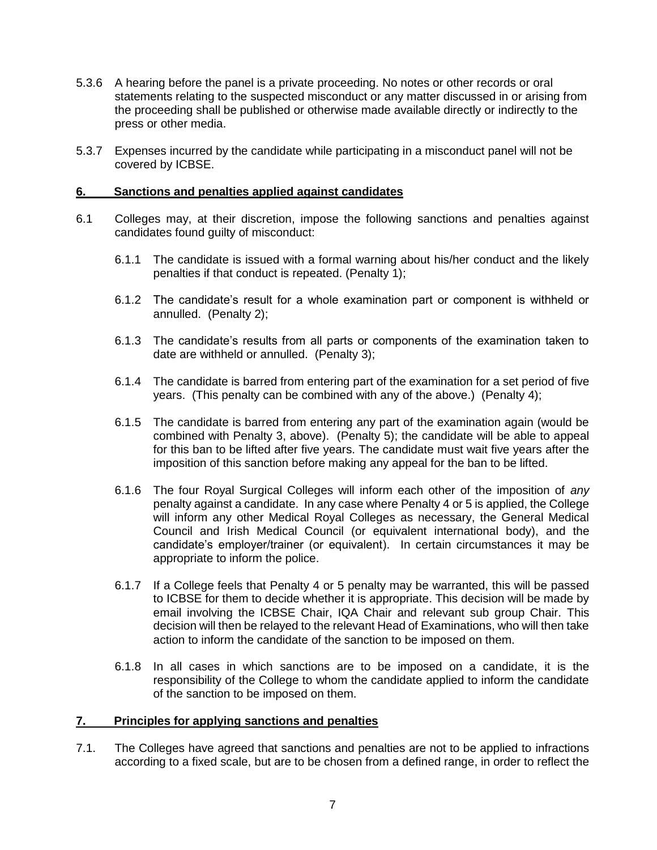- 5.3.6 A hearing before the panel is a private proceeding. No notes or other records or oral statements relating to the suspected misconduct or any matter discussed in or arising from the proceeding shall be published or otherwise made available directly or indirectly to the press or other media.
- 5.3.7 Expenses incurred by the candidate while participating in a misconduct panel will not be covered by ICBSE.

#### **6. Sanctions and penalties applied against candidates**

- 6.1 Colleges may, at their discretion, impose the following sanctions and penalties against candidates found guilty of misconduct:
	- 6.1.1 The candidate is issued with a formal warning about his/her conduct and the likely penalties if that conduct is repeated. (Penalty 1);
	- 6.1.2 The candidate's result for a whole examination part or component is withheld or annulled. (Penalty 2);
	- 6.1.3 The candidate's results from all parts or components of the examination taken to date are withheld or annulled. (Penalty 3);
	- 6.1.4 The candidate is barred from entering part of the examination for a set period of five years. (This penalty can be combined with any of the above.) (Penalty 4);
	- 6.1.5 The candidate is barred from entering any part of the examination again (would be combined with Penalty 3, above). (Penalty 5); the candidate will be able to appeal for this ban to be lifted after five years. The candidate must wait five years after the imposition of this sanction before making any appeal for the ban to be lifted.
	- 6.1.6 The four Royal Surgical Colleges will inform each other of the imposition of *any*  penalty against a candidate. In any case where Penalty 4 or 5 is applied, the College will inform any other Medical Royal Colleges as necessary, the General Medical Council and Irish Medical Council (or equivalent international body), and the candidate's employer/trainer (or equivalent). In certain circumstances it may be appropriate to inform the police.
	- 6.1.7 If a College feels that Penalty 4 or 5 penalty may be warranted, this will be passed to ICBSE for them to decide whether it is appropriate. This decision will be made by email involving the ICBSE Chair, IQA Chair and relevant sub group Chair. This decision will then be relayed to the relevant Head of Examinations, who will then take action to inform the candidate of the sanction to be imposed on them.
	- 6.1.8 In all cases in which sanctions are to be imposed on a candidate, it is the responsibility of the College to whom the candidate applied to inform the candidate of the sanction to be imposed on them.

#### **7. Principles for applying sanctions and penalties**

7.1. The Colleges have agreed that sanctions and penalties are not to be applied to infractions according to a fixed scale, but are to be chosen from a defined range, in order to reflect the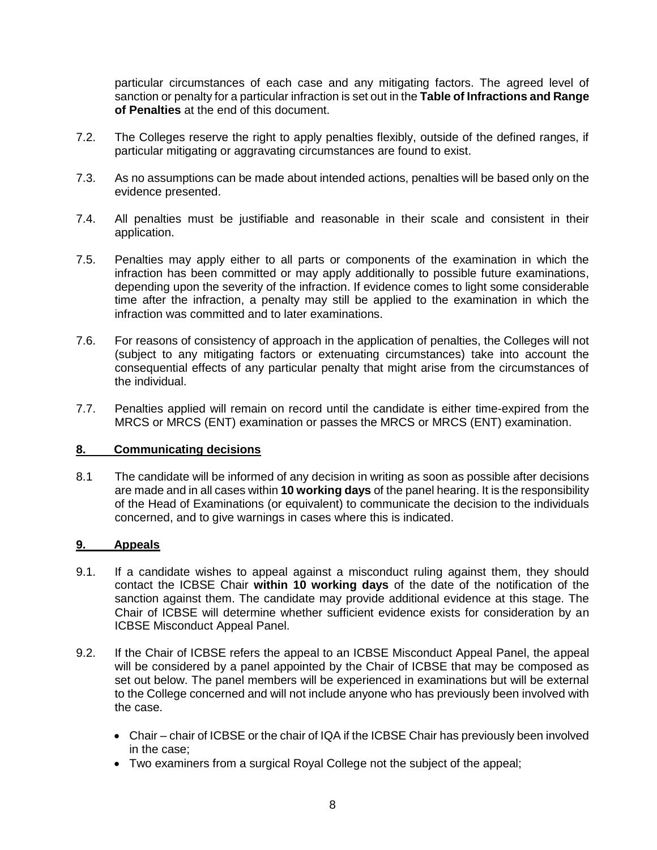particular circumstances of each case and any mitigating factors. The agreed level of sanction or penalty for a particular infraction is set out in the **Table of Infractions and Range of Penalties** at the end of this document.

- 7.2. The Colleges reserve the right to apply penalties flexibly, outside of the defined ranges, if particular mitigating or aggravating circumstances are found to exist.
- 7.3. As no assumptions can be made about intended actions, penalties will be based only on the evidence presented.
- 7.4. All penalties must be justifiable and reasonable in their scale and consistent in their application.
- 7.5. Penalties may apply either to all parts or components of the examination in which the infraction has been committed or may apply additionally to possible future examinations, depending upon the severity of the infraction. If evidence comes to light some considerable time after the infraction, a penalty may still be applied to the examination in which the infraction was committed and to later examinations.
- 7.6. For reasons of consistency of approach in the application of penalties, the Colleges will not (subject to any mitigating factors or extenuating circumstances) take into account the consequential effects of any particular penalty that might arise from the circumstances of the individual.
- 7.7. Penalties applied will remain on record until the candidate is either time-expired from the MRCS or MRCS (ENT) examination or passes the MRCS or MRCS (ENT) examination.

#### **8. Communicating decisions**

8.1 The candidate will be informed of any decision in writing as soon as possible after decisions are made and in all cases within **10 working days** of the panel hearing. It is the responsibility of the Head of Examinations (or equivalent) to communicate the decision to the individuals concerned, and to give warnings in cases where this is indicated.

#### **9. Appeals**

- 9.1. If a candidate wishes to appeal against a misconduct ruling against them, they should contact the ICBSE Chair **within 10 working days** of the date of the notification of the sanction against them. The candidate may provide additional evidence at this stage. The Chair of ICBSE will determine whether sufficient evidence exists for consideration by an ICBSE Misconduct Appeal Panel.
- 9.2. If the Chair of ICBSE refers the appeal to an ICBSE Misconduct Appeal Panel, the appeal will be considered by a panel appointed by the Chair of ICBSE that may be composed as set out below. The panel members will be experienced in examinations but will be external to the College concerned and will not include anyone who has previously been involved with the case.
	- Chair chair of ICBSE or the chair of IQA if the ICBSE Chair has previously been involved in the case;
	- Two examiners from a surgical Royal College not the subject of the appeal;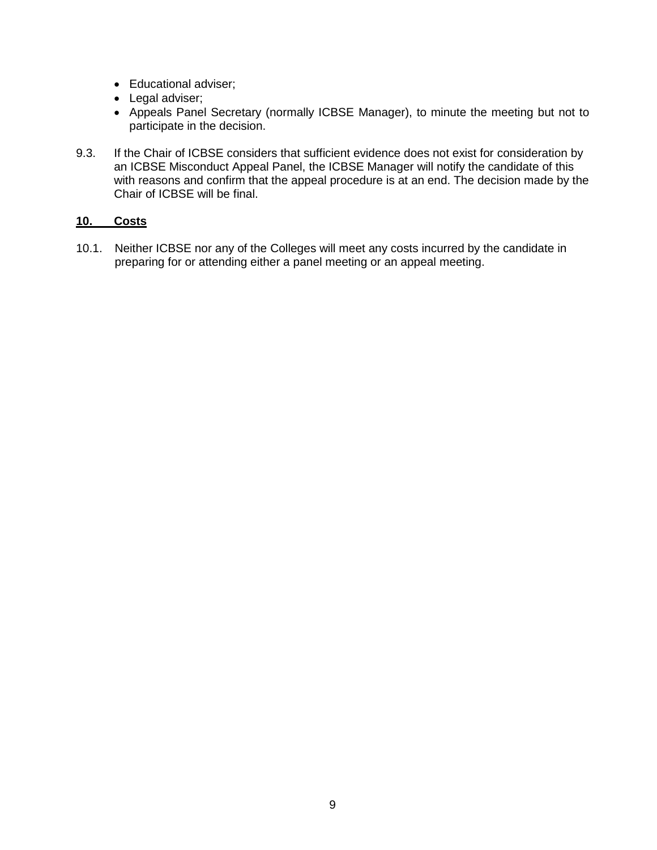- Educational adviser;
- Legal adviser;
- Appeals Panel Secretary (normally ICBSE Manager), to minute the meeting but not to participate in the decision.
- 9.3. If the Chair of ICBSE considers that sufficient evidence does not exist for consideration by an ICBSE Misconduct Appeal Panel, the ICBSE Manager will notify the candidate of this with reasons and confirm that the appeal procedure is at an end. The decision made by the Chair of ICBSE will be final.

## **10. Costs**

10.1. Neither ICBSE nor any of the Colleges will meet any costs incurred by the candidate in preparing for or attending either a panel meeting or an appeal meeting.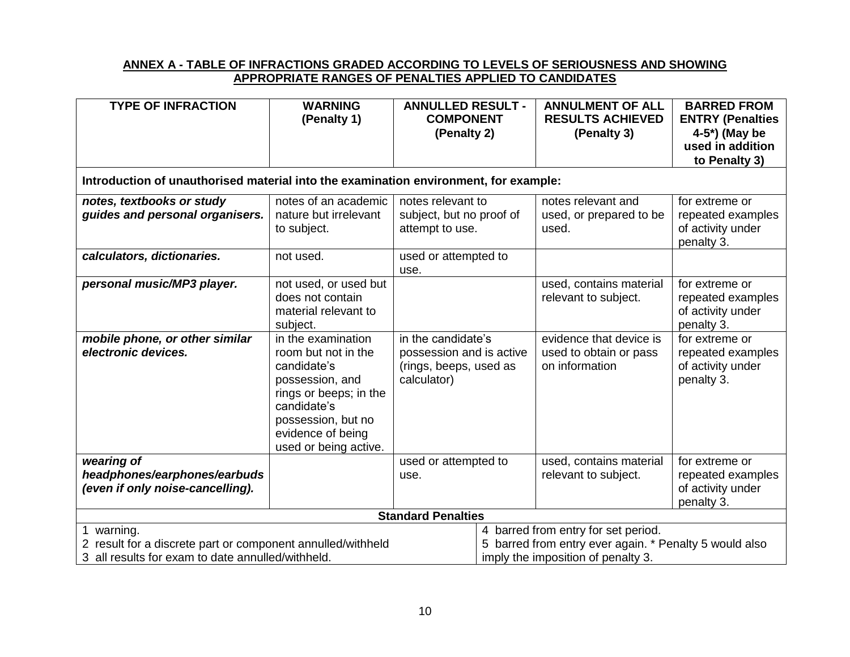#### **ANNEX A - TABLE OF INFRACTIONS GRADED ACCORDING TO LEVELS OF SERIOUSNESS AND SHOWING APPROPRIATE RANGES OF PENALTIES APPLIED TO CANDIDATES**

| <b>TYPE OF INFRACTION</b>                                                            | <b>WARNING</b><br>(Penalty 1)                                                                                                                                                            | <b>ANNULLED RESULT -</b><br><b>COMPONENT</b>                                            |                                     | <b>ANNULMENT OF ALL</b><br><b>RESULTS ACHIEVED</b>                  | <b>BARRED FROM</b><br><b>ENTRY (Penalties</b>                          |  |  |  |
|--------------------------------------------------------------------------------------|------------------------------------------------------------------------------------------------------------------------------------------------------------------------------------------|-----------------------------------------------------------------------------------------|-------------------------------------|---------------------------------------------------------------------|------------------------------------------------------------------------|--|--|--|
|                                                                                      |                                                                                                                                                                                          | (Penalty 2)                                                                             |                                     | (Penalty 3)                                                         | 4-5*) (May be                                                          |  |  |  |
|                                                                                      |                                                                                                                                                                                          |                                                                                         |                                     |                                                                     | used in addition<br>to Penalty 3)                                      |  |  |  |
| Introduction of unauthorised material into the examination environment, for example: |                                                                                                                                                                                          |                                                                                         |                                     |                                                                     |                                                                        |  |  |  |
| notes, textbooks or study<br>guides and personal organisers.                         | notes of an academic<br>nature but irrelevant<br>to subject.                                                                                                                             | notes relevant to<br>subject, but no proof of<br>attempt to use.                        |                                     | notes relevant and<br>used, or prepared to be<br>used.              | for extreme or<br>repeated examples<br>of activity under<br>penalty 3. |  |  |  |
| calculators, dictionaries.                                                           | not used.                                                                                                                                                                                | used or attempted to<br>use.                                                            |                                     |                                                                     |                                                                        |  |  |  |
| personal music/MP3 player.                                                           | not used, or used but<br>does not contain<br>material relevant to<br>subject.                                                                                                            |                                                                                         |                                     | used, contains material<br>relevant to subject.                     | for extreme or<br>repeated examples<br>of activity under<br>penalty 3. |  |  |  |
| mobile phone, or other similar<br>electronic devices.                                | in the examination<br>room but not in the<br>candidate's<br>possession, and<br>rings or beeps; in the<br>candidate's<br>possession, but no<br>evidence of being<br>used or being active. | in the candidate's<br>possession and is active<br>(rings, beeps, used as<br>calculator) |                                     | evidence that device is<br>used to obtain or pass<br>on information | for extreme or<br>repeated examples<br>of activity under<br>penalty 3. |  |  |  |
| wearing of<br>headphones/earphones/earbuds<br>(even if only noise-cancelling).       |                                                                                                                                                                                          | used or attempted to<br>use.                                                            |                                     | used, contains material<br>relevant to subject.                     | for extreme or<br>repeated examples<br>of activity under<br>penalty 3. |  |  |  |
| <b>Standard Penalties</b>                                                            |                                                                                                                                                                                          |                                                                                         |                                     |                                                                     |                                                                        |  |  |  |
| warning.                                                                             |                                                                                                                                                                                          |                                                                                         | 4 barred from entry for set period. |                                                                     |                                                                        |  |  |  |
| 2 result for a discrete part or component annulled/withheld                          |                                                                                                                                                                                          | 5 barred from entry ever again. * Penalty 5 would also                                  |                                     |                                                                     |                                                                        |  |  |  |
| 3 all results for exam to date annulled/withheld.                                    |                                                                                                                                                                                          |                                                                                         |                                     | imply the imposition of penalty 3.                                  |                                                                        |  |  |  |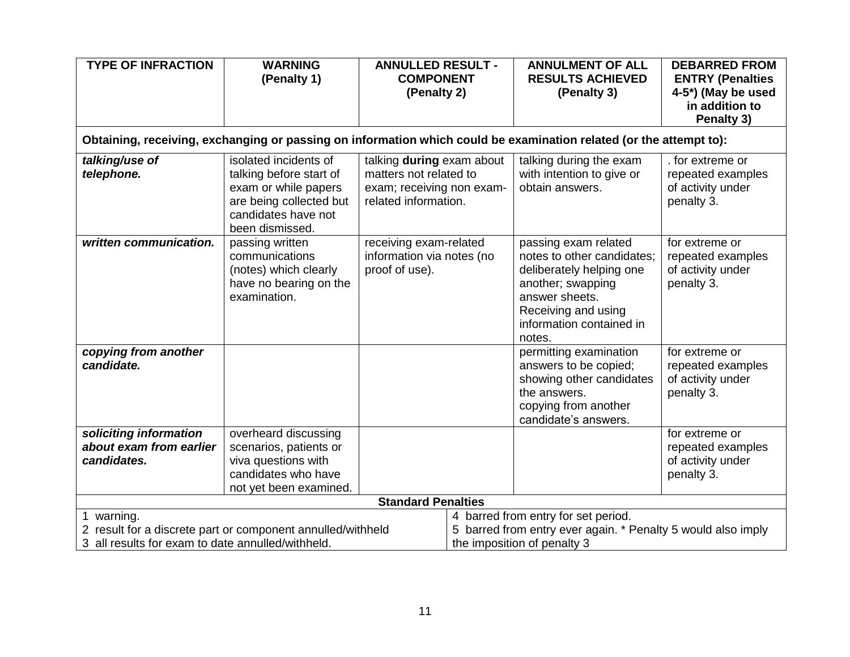| <b>TYPE OF INFRACTION</b>                                                                                                      | <b>WARNING</b><br>(Penalty 1)                                                                                                                 | <b>ANNULLED RESULT -</b><br><b>COMPONENT</b><br>(Penalty 2)                                              |                                                                                                                                    | <b>ANNULMENT OF ALL</b><br><b>RESULTS ACHIEVED</b><br>(Penalty 3)                                                                                                                  | <b>DEBARRED FROM</b><br><b>ENTRY (Penalties</b><br>4-5*) (May be used<br>in addition to |  |  |  |
|--------------------------------------------------------------------------------------------------------------------------------|-----------------------------------------------------------------------------------------------------------------------------------------------|----------------------------------------------------------------------------------------------------------|------------------------------------------------------------------------------------------------------------------------------------|------------------------------------------------------------------------------------------------------------------------------------------------------------------------------------|-----------------------------------------------------------------------------------------|--|--|--|
|                                                                                                                                |                                                                                                                                               |                                                                                                          |                                                                                                                                    |                                                                                                                                                                                    | Penalty 3)                                                                              |  |  |  |
| Obtaining, receiving, exchanging or passing on information which could be examination related (or the attempt to):             |                                                                                                                                               |                                                                                                          |                                                                                                                                    |                                                                                                                                                                                    |                                                                                         |  |  |  |
| talking/use of<br>telephone.                                                                                                   | isolated incidents of<br>talking before start of<br>exam or while papers<br>are being collected but<br>candidates have not<br>been dismissed. | talking during exam about<br>matters not related to<br>exam; receiving non exam-<br>related information. |                                                                                                                                    | talking during the exam<br>with intention to give or<br>obtain answers.                                                                                                            | . for extreme or<br>repeated examples<br>of activity under<br>penalty 3.                |  |  |  |
| written communication.                                                                                                         | passing written<br>communications<br>(notes) which clearly<br>have no bearing on the<br>examination.                                          | receiving exam-related<br>information via notes (no<br>proof of use).                                    |                                                                                                                                    | passing exam related<br>notes to other candidates;<br>deliberately helping one<br>another; swapping<br>answer sheets.<br>Receiving and using<br>information contained in<br>notes. | for extreme or<br>repeated examples<br>of activity under<br>penalty 3.                  |  |  |  |
| copying from another<br>candidate.                                                                                             |                                                                                                                                               |                                                                                                          |                                                                                                                                    | permitting examination<br>answers to be copied;<br>showing other candidates<br>the answers.<br>copying from another<br>candidate's answers.                                        | for extreme or<br>repeated examples<br>of activity under<br>penalty 3.                  |  |  |  |
| soliciting information<br>about exam from earlier<br>candidates.                                                               | overheard discussing<br>scenarios, patients or<br>viva questions with<br>candidates who have<br>not yet been examined.                        |                                                                                                          |                                                                                                                                    |                                                                                                                                                                                    | for extreme or<br>repeated examples<br>of activity under<br>penalty 3.                  |  |  |  |
| <b>Standard Penalties</b>                                                                                                      |                                                                                                                                               |                                                                                                          |                                                                                                                                    |                                                                                                                                                                                    |                                                                                         |  |  |  |
| 1 warning.<br>2 result for a discrete part or component annulled/withheld<br>3 all results for exam to date annulled/withheld. |                                                                                                                                               |                                                                                                          | 4 barred from entry for set period.<br>5 barred from entry ever again. * Penalty 5 would also imply<br>the imposition of penalty 3 |                                                                                                                                                                                    |                                                                                         |  |  |  |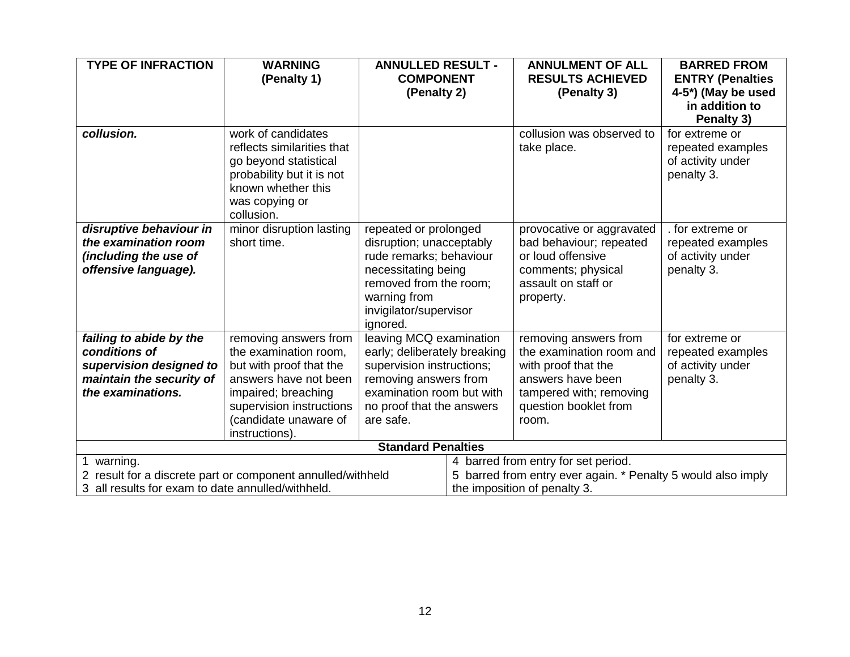| <b>TYPE OF INFRACTION</b>                                   | <b>WARNING</b>             | <b>ANNULLED RESULT -</b>               |                                                              | <b>ANNULMENT OF ALL</b>             | <b>BARRED FROM</b>      |  |  |
|-------------------------------------------------------------|----------------------------|----------------------------------------|--------------------------------------------------------------|-------------------------------------|-------------------------|--|--|
|                                                             | (Penalty 1)                | <b>COMPONENT</b>                       |                                                              | <b>RESULTS ACHIEVED</b>             | <b>ENTRY (Penalties</b> |  |  |
|                                                             |                            | (Penalty 2)                            |                                                              | (Penalty 3)                         | 4-5*) (May be used      |  |  |
|                                                             |                            |                                        |                                                              |                                     | in addition to          |  |  |
|                                                             |                            |                                        |                                                              |                                     | Penalty 3)              |  |  |
| collusion.                                                  | work of candidates         |                                        |                                                              | collusion was observed to           | for extreme or          |  |  |
|                                                             | reflects similarities that |                                        |                                                              | take place.                         | repeated examples       |  |  |
|                                                             | go beyond statistical      |                                        |                                                              |                                     | of activity under       |  |  |
|                                                             | probability but it is not  |                                        |                                                              |                                     | penalty 3.              |  |  |
|                                                             | known whether this         |                                        |                                                              |                                     |                         |  |  |
|                                                             | was copying or             |                                        |                                                              |                                     |                         |  |  |
|                                                             | collusion.                 |                                        |                                                              |                                     |                         |  |  |
| disruptive behaviour in                                     | minor disruption lasting   | repeated or prolonged                  |                                                              | provocative or aggravated           | . for extreme or        |  |  |
| the examination room                                        | short time.                | disruption; unacceptably               |                                                              | bad behaviour; repeated             | repeated examples       |  |  |
| (including the use of                                       |                            | rude remarks; behaviour                |                                                              | or loud offensive                   | of activity under       |  |  |
| offensive language).                                        |                            | necessitating being                    |                                                              | comments; physical                  | penalty 3.              |  |  |
|                                                             |                            | removed from the room;                 |                                                              | assault on staff or                 |                         |  |  |
|                                                             |                            | warning from<br>invigilator/supervisor |                                                              | property.                           |                         |  |  |
|                                                             |                            | ignored.                               |                                                              |                                     |                         |  |  |
| failing to abide by the                                     | removing answers from      | leaving MCQ examination                |                                                              | removing answers from               | for extreme or          |  |  |
| conditions of                                               | the examination room,      | early; deliberately breaking           |                                                              | the examination room and            | repeated examples       |  |  |
| supervision designed to                                     | but with proof that the    | supervision instructions;              |                                                              | with proof that the                 | of activity under       |  |  |
| maintain the security of                                    | answers have not been      | removing answers from                  |                                                              | answers have been                   | penalty 3.              |  |  |
| the examinations.                                           | impaired; breaching        | examination room but with              |                                                              | tampered with; removing             |                         |  |  |
|                                                             | supervision instructions   | no proof that the answers              |                                                              | question booklet from               |                         |  |  |
|                                                             | (candidate unaware of      | are safe.                              |                                                              | room.                               |                         |  |  |
|                                                             | instructions).             |                                        |                                                              |                                     |                         |  |  |
| <b>Standard Penalties</b>                                   |                            |                                        |                                                              |                                     |                         |  |  |
| 1 warning.                                                  |                            |                                        |                                                              | 4 barred from entry for set period. |                         |  |  |
| 2 result for a discrete part or component annulled/withheld |                            |                                        | 5 barred from entry ever again. * Penalty 5 would also imply |                                     |                         |  |  |
| 3 all results for exam to date annulled/withheld.           |                            |                                        | the imposition of penalty 3.                                 |                                     |                         |  |  |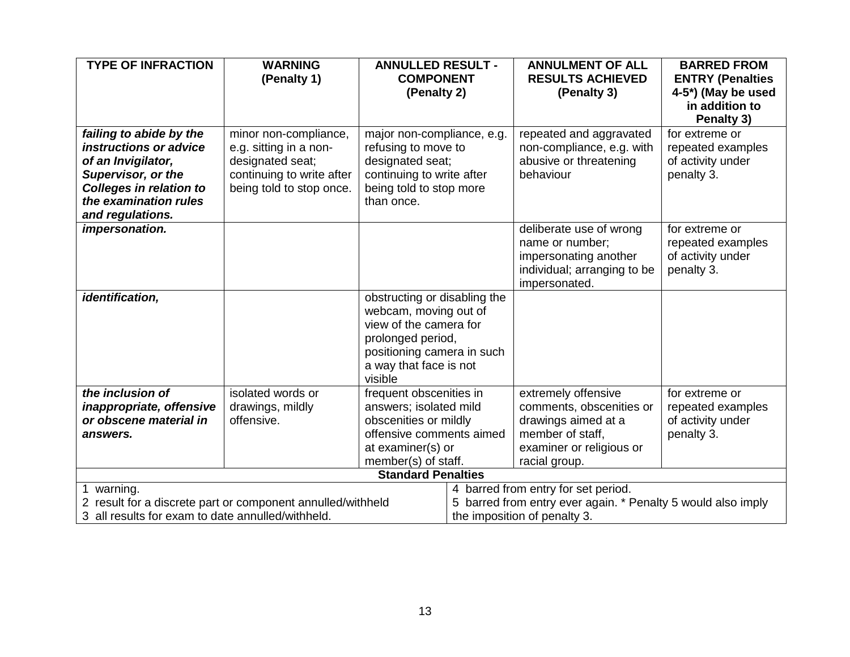| <b>TYPE OF INFRACTION</b>                                   | <b>WARNING</b>            | <b>ANNULLED RESULT -</b>     |                                                              | <b>ANNULMENT OF ALL</b>     | <b>BARRED FROM</b>      |  |
|-------------------------------------------------------------|---------------------------|------------------------------|--------------------------------------------------------------|-----------------------------|-------------------------|--|
|                                                             | (Penalty 1)               | <b>COMPONENT</b>             |                                                              | <b>RESULTS ACHIEVED</b>     | <b>ENTRY (Penalties</b> |  |
|                                                             |                           | (Penalty 2)                  |                                                              | (Penalty 3)                 | 4-5*) (May be used      |  |
|                                                             |                           |                              |                                                              |                             | in addition to          |  |
|                                                             |                           |                              |                                                              |                             | Penalty 3)              |  |
| failing to abide by the                                     | minor non-compliance,     | major non-compliance, e.g.   |                                                              | repeated and aggravated     | for extreme or          |  |
| instructions or advice                                      | e.g. sitting in a non-    | refusing to move to          |                                                              | non-compliance, e.g. with   | repeated examples       |  |
| of an Invigilator,                                          | designated seat;          | designated seat;             |                                                              | abusive or threatening      | of activity under       |  |
| Supervisor, or the                                          | continuing to write after | continuing to write after    |                                                              | behaviour                   | penalty 3.              |  |
| <b>Colleges in relation to</b>                              | being told to stop once.  | being told to stop more      |                                                              |                             |                         |  |
| the examination rules                                       |                           | than once.                   |                                                              |                             |                         |  |
| and regulations.                                            |                           |                              |                                                              |                             |                         |  |
| impersonation.                                              |                           |                              |                                                              | deliberate use of wrong     | for extreme or          |  |
|                                                             |                           |                              |                                                              | name or number;             | repeated examples       |  |
|                                                             |                           |                              |                                                              | impersonating another       | of activity under       |  |
|                                                             |                           |                              |                                                              | individual; arranging to be | penalty 3.              |  |
| identification,                                             |                           | obstructing or disabling the |                                                              | impersonated.               |                         |  |
|                                                             |                           | webcam, moving out of        |                                                              |                             |                         |  |
|                                                             |                           | view of the camera for       |                                                              |                             |                         |  |
|                                                             |                           | prolonged period,            |                                                              |                             |                         |  |
|                                                             |                           | positioning camera in such   |                                                              |                             |                         |  |
|                                                             |                           | a way that face is not       |                                                              |                             |                         |  |
|                                                             |                           | visible                      |                                                              |                             |                         |  |
| the inclusion of                                            | isolated words or         | frequent obscenities in      |                                                              | extremely offensive         | for extreme or          |  |
| inappropriate, offensive                                    | drawings, mildly          | answers; isolated mild       |                                                              | comments, obscenities or    | repeated examples       |  |
| or obscene material in                                      | offensive.                | obscenities or mildly        |                                                              | drawings aimed at a         | of activity under       |  |
| answers.                                                    |                           | offensive comments aimed     |                                                              | member of staff,            | penalty 3.              |  |
|                                                             |                           | at examiner(s) or            |                                                              | examiner or religious or    |                         |  |
|                                                             |                           | member(s) of staff.          |                                                              | racial group.               |                         |  |
| <b>Standard Penalties</b>                                   |                           |                              |                                                              |                             |                         |  |
| 1 warning.                                                  |                           |                              | 4 barred from entry for set period.                          |                             |                         |  |
| 2 result for a discrete part or component annulled/withheld |                           |                              | 5 barred from entry ever again. * Penalty 5 would also imply |                             |                         |  |
| 3 all results for exam to date annulled/withheld.           |                           |                              | the imposition of penalty 3.                                 |                             |                         |  |